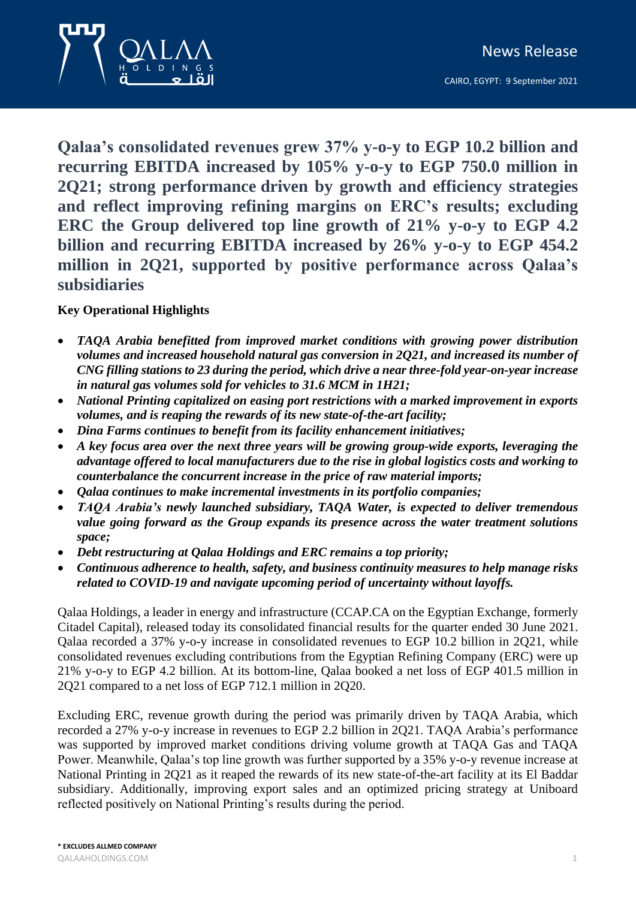CAIRO, EGYPT: 9 September 2021



**Qalaa's consolidated revenues grew 37% y-o-y to EGP 10.2 billion and recurring EBITDA increased by 105% y-o-y to EGP 750.0 million in 2Q21; strong performance driven by growth and efficiency strategies and reflect improving refining margins on ERC's results; excluding ERC the Group delivered top line growth of 21% y-o-y to EGP 4.2 billion and recurring EBITDA increased by 26% y-o-y to EGP 454.2 million in 2Q21, supported by positive performance across Qalaa's subsidiaries** 

# **Key Operational Highlights**

- *TAQA Arabia benefitted from improved market conditions with growing power distribution volumes and increased household natural gas conversion in 2Q21, and increased its number of CNG filling stations to 23 during the period, which drive a near three-fold year-on-year increase in natural gas volumes sold for vehicles to 31.6 MCM in 1H21;*
- *National Printing capitalized on easing port restrictions with a marked improvement in exports volumes, and is reaping the rewards of its new state-of-the-art facility;*
- *Dina Farms continues to benefit from its facility enhancement initiatives;*
- *A key focus area over the next three years will be growing group-wide exports, leveraging the advantage offered to local manufacturers due to the rise in global logistics costs and working to counterbalance the concurrent increase in the price of raw material imports;*
- *Qalaa continues to make incremental investments in its portfolio companies;*
- *TAQA Arabia's newly launched subsidiary, TAQA Water, is expected to deliver tremendous value going forward as the Group expands its presence across the water treatment solutions space;*
- *Debt restructuring at Qalaa Holdings and ERC remains a top priority;*
- *Continuous adherence to health, safety, and business continuity measures to help manage risks related to COVID-19 and navigate upcoming period of uncertainty without layoffs.*

Qalaa Holdings, a leader in energy and infrastructure (CCAP.CA on the Egyptian Exchange, formerly Citadel Capital), released today its consolidated financial results for the quarter ended 30 June 2021. Qalaa recorded a 37% y-o-y increase in consolidated revenues to EGP 10.2 billion in 2Q21, while consolidated revenues excluding contributions from the Egyptian Refining Company (ERC) were up 21% y-o-y to EGP 4.2 billion. At its bottom-line, Qalaa booked a net loss of EGP 401.5 million in 2Q21 compared to a net loss of EGP 712.1 million in 2Q20.

Excluding ERC, revenue growth during the period was primarily driven by TAQA Arabia, which recorded a 27% y-o-y increase in revenues to EGP 2.2 billion in 2Q21. TAQA Arabia's performance was supported by improved market conditions driving volume growth at TAQA Gas and TAQA Power. Meanwhile, Qalaa's top line growth was further supported by a 35% y-o-y revenue increase at National Printing in 2Q21 as it reaped the rewards of its new state-of-the-art facility at its El Baddar subsidiary. Additionally, improving export sales and an optimized pricing strategy at Uniboard reflected positively on National Printing's results during the period.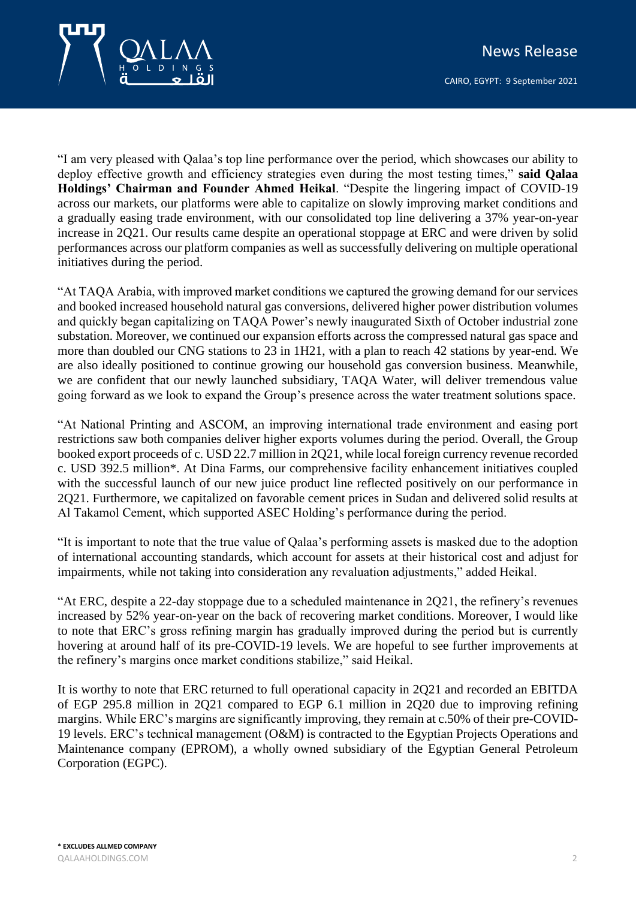

"I am very pleased with Qalaa's top line performance over the period, which showcases our ability to deploy effective growth and efficiency strategies even during the most testing times," **said Qalaa Holdings' Chairman and Founder Ahmed Heikal**. "Despite the lingering impact of COVID-19 across our markets, our platforms were able to capitalize on slowly improving market conditions and a gradually easing trade environment, with our consolidated top line delivering a 37% year-on-year increase in 2Q21. Our results came despite an operational stoppage at ERC and were driven by solid performances across our platform companies as well as successfully delivering on multiple operational initiatives during the period.

"At TAQA Arabia, with improved market conditions we captured the growing demand for our services and booked increased household natural gas conversions, delivered higher power distribution volumes and quickly began capitalizing on TAQA Power's newly inaugurated Sixth of October industrial zone substation. Moreover, we continued our expansion efforts across the compressed natural gas space and more than doubled our CNG stations to 23 in 1H21, with a plan to reach 42 stations by year-end. We are also ideally positioned to continue growing our household gas conversion business. Meanwhile, we are confident that our newly launched subsidiary, TAQA Water, will deliver tremendous value going forward as we look to expand the Group's presence across the water treatment solutions space.

"At National Printing and ASCOM, an improving international trade environment and easing port restrictions saw both companies deliver higher exports volumes during the period. Overall, the Group booked export proceeds of c. USD 22.7 million in 2Q21, while local foreign currency revenue recorded c. USD 392.5 million\*. At Dina Farms, our comprehensive facility enhancement initiatives coupled with the successful launch of our new juice product line reflected positively on our performance in 2Q21. Furthermore, we capitalized on favorable cement prices in Sudan and delivered solid results at Al Takamol Cement, which supported ASEC Holding's performance during the period.

"It is important to note that the true value of Qalaa's performing assets is masked due to the adoption of international accounting standards, which account for assets at their historical cost and adjust for impairments, while not taking into consideration any revaluation adjustments," added Heikal.

"At ERC, despite a 22-day stoppage due to a scheduled maintenance in 2Q21, the refinery's revenues increased by 52% year-on-year on the back of recovering market conditions. Moreover, I would like to note that ERC's gross refining margin has gradually improved during the period but is currently hovering at around half of its pre-COVID-19 levels. We are hopeful to see further improvements at the refinery's margins once market conditions stabilize," said Heikal.

It is worthy to note that ERC returned to full operational capacity in 2Q21 and recorded an EBITDA of EGP 295.8 million in 2Q21 compared to EGP 6.1 million in 2Q20 due to improving refining margins. While ERC's margins are significantly improving, they remain at c.50% of their pre-COVID-19 levels. ERC's technical management (O&M) is contracted to the Egyptian Projects Operations and Maintenance company (EPROM), a wholly owned subsidiary of the Egyptian General Petroleum Corporation (EGPC).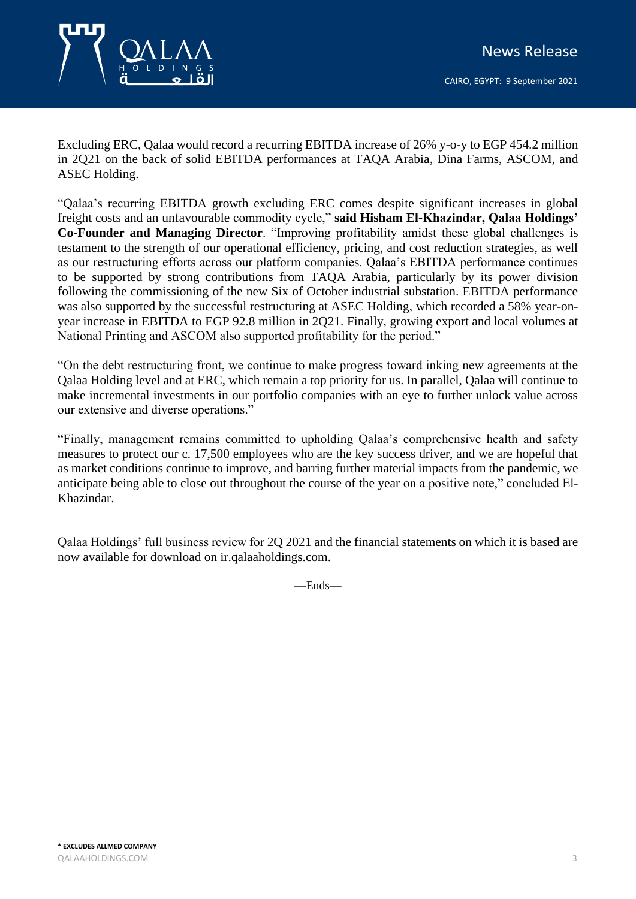

Excluding ERC, Qalaa would record a recurring EBITDA increase of 26% y-o-y to EGP 454.2 million in 2Q21 on the back of solid EBITDA performances at TAQA Arabia, Dina Farms, ASCOM, and ASEC Holding.

"Qalaa's recurring EBITDA growth excluding ERC comes despite significant increases in global freight costs and an unfavourable commodity cycle," **said Hisham El-Khazindar, Qalaa Holdings' Co-Founder and Managing Director**. "Improving profitability amidst these global challenges is testament to the strength of our operational efficiency, pricing, and cost reduction strategies, as well as our restructuring efforts across our platform companies. Qalaa's EBITDA performance continues to be supported by strong contributions from TAQA Arabia, particularly by its power division following the commissioning of the new Six of October industrial substation. EBITDA performance was also supported by the successful restructuring at ASEC Holding, which recorded a 58% year-onyear increase in EBITDA to EGP 92.8 million in 2Q21. Finally, growing export and local volumes at National Printing and ASCOM also supported profitability for the period."

"On the debt restructuring front, we continue to make progress toward inking new agreements at the Qalaa Holding level and at ERC, which remain a top priority for us. In parallel, Qalaa will continue to make incremental investments in our portfolio companies with an eye to further unlock value across our extensive and diverse operations."

"Finally, management remains committed to upholding Qalaa's comprehensive health and safety measures to protect our c. 17,500 employees who are the key success driver, and we are hopeful that as market conditions continue to improve, and barring further material impacts from the pandemic, we anticipate being able to close out throughout the course of the year on a positive note," concluded El-Khazindar.

Qalaa Holdings' full business review for 2Q 2021 and the financial statements on which it is based are now available for download on ir.qalaaholdings.com.

—Ends—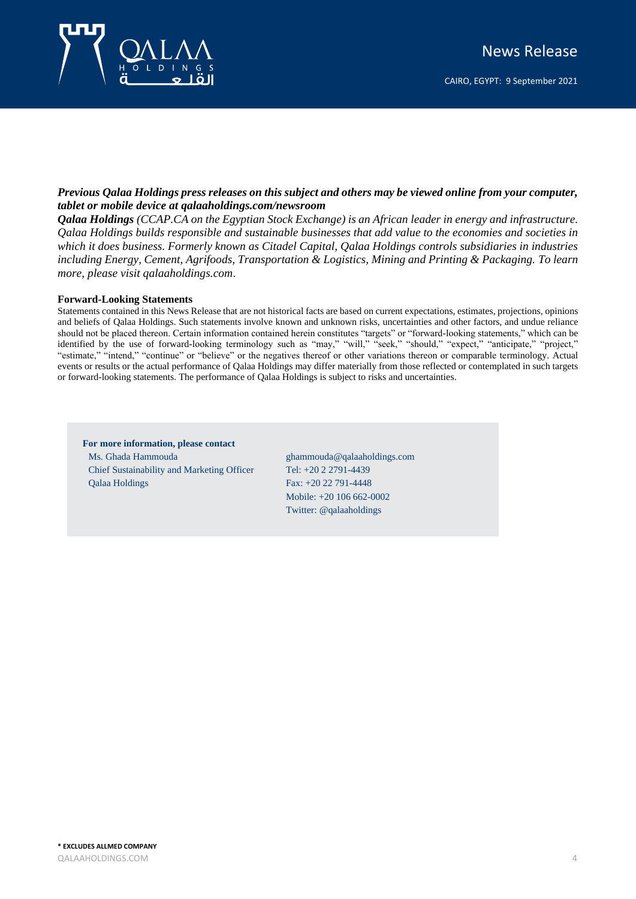

CAIRO, EGYPT: 9 September 2021

### *Previous Qalaa Holdings press releases on this subject and others may be viewed online from your computer, tablet or mobile device at qalaaholdings.com/newsroom*

*Qalaa Holdings (CCAP.CA on the Egyptian Stock Exchange) is an African leader in energy and infrastructure. Qalaa Holdings builds responsible and sustainable businesses that add value to the economies and societies in*  which it does business. Formerly known as Citadel Capital, Qalaa Holdings controls subsidiaries in industries *including Energy, Cement, Agrifoods, Transportation & Logistics, Mining and Printing & Packaging. To learn more, please visit qalaaholdings.com* .

#### **Forward-Looking Statements**

Statements contained in this News Release that are not historical facts are based on current expectations, estimates, projections, opinions and beliefs of Qalaa Holdings. Such statements involve known and unknown risks, uncertainties and other factors, and undue reliance should not be placed thereon. Certain information contained herein constitutes "targets" or "forward-looking statements," which can be identified by the use of forward-looking terminology such as "may," "will," "seek," "should," "expect," "anticipate," "project," "estimate," "intend," "continue" or "believe" or the negatives thereof or other variations thereon or comparable terminology. Actual events or results or the actual performance of Qalaa Holdings may differ materially from those reflected or contemplated in such targets or forward-looking statements. The performance of Qalaa Holdings is subject to risks and uncertainties.

### **For more information, please contact** Ms. Ghada Hammouda Chief Sustainability and Marketing Officer Qalaa Holdings

ghammouda@qalaaholdings.com Tel: +20 2 2791-4439 Fax: +20 22 791-4448 Mobile: +20 106 662-0002 Twitter: @qalaaholdings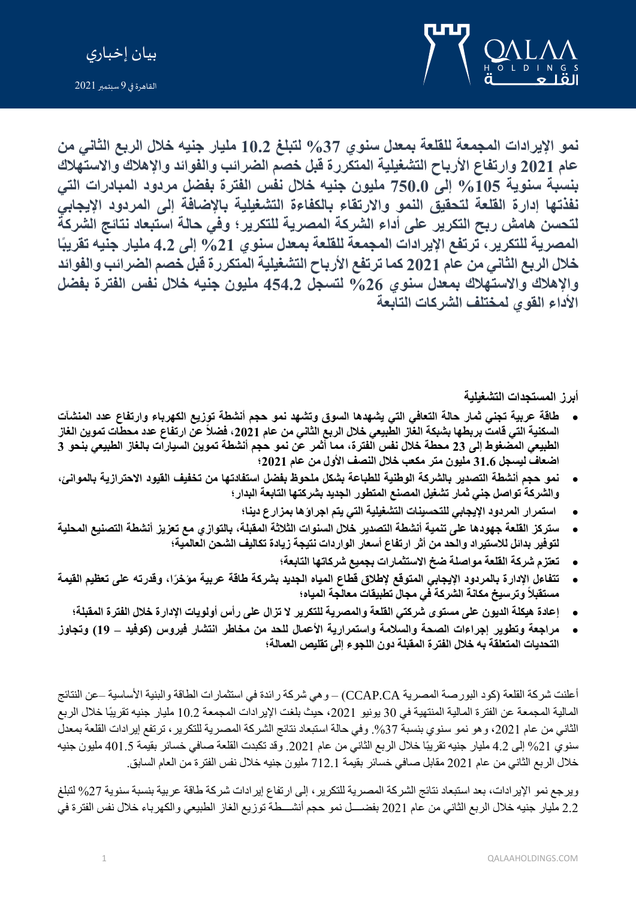

بيان إخباري

القاهرة في 9 سبتمبر 2021

**نمو اإليرادات المجمعة لل قلعة بمعدل سنوي %37 لتبلغ 10.2 مليار جنيه خالل الربع الثاني من عام 2021 وارتفاع ال رباح التشغيلية المتكررة قبل خصم الضرائب والفوائد واإلهالك واالستهالك بنسب ة سنوية %105 إلى 750.0 مليون جنيه خالل نفس الفترة بفضل مردود المبادرات التي نفذتها إدارة القلعة لتحقيق النمو واال رتقاء بالكفاءة التشغيلية باإلضافة إلى المردود اإليجابي لتحسن هامش ربح التكرير على أداء الشركة المصرية للتكرير؛ وفي حالة استبعاد نتائج الشركة المصرية للتكرير، ترتفع اإليرادات المجمعة للقلعة بمعدل سنوي %21 إلى 4.2 مليار جنيه تقريبًا خالل الربع الثاني من عام 2021 كما ترتفع الرباح التشغيلية المتكررة قبل خصم الضرائب والفوائد واإلهالك واالستهالك بمعدل سنوي %26 لتسجل 454.2 مليون جنيه خالل نفس الفترة بفضل الداء القوي لمختلف الشركات التابعة**

**أبرز المستجدات التشغيلية** 

- **طاقة عربية تجني ثمار حالة التعافي التي يشهدها السوق وتشهد نمو حجم أنشطة توزيع الكهرباء وارتفاع عدد المنشآت السكنية التي قامت بربطها بشبكة الغاز الطبيعي خالل الربع الثاني من عام ،2021 فضالً عن ارتفاع عدد محطات تموين الغاز الطبيعي المضغوط إلى 23 محطة خالل نفس الفترة، مما أثمر عن نمو حجم أنشطة تموين السيارات بالغاز الطبيعي بنحو 3 اضعاف ليسجل 31.6 مليون متر مكعب خالل النصف الول من عام 2021؛**
- **نمو حجم أنشطة التصدير بالشركة الوطنية للطباعة بشكل ملحوظ بفضل استفادتها من تخفيف القيود االحترازية بالموانئ، والشركة تواصل جني ثمار تشغيل المصنع المتطور الجديد بشركتها التابعة البدار؛** 
	- **استمرار المردود اإليجابي للتحسينات التشغيلية التي يتم اجراؤها بمزارع دينا؛**
- **ستركز القلعة جهودها على تنمية أنشطة التصدير خالل السنوات الثالثة المقبلة، بالتوازي مع تعزيز أنشطة التصنيع المحلية لتوفير بدائل لالستيراد والحد من أثر ارتفاع أسعار الواردات نتيجة زيادة تكاليف الشحن العالمية؛**
	- **تعتزم شركة القلعة مواصلة ضخ االستثمارات بجميع شركاتها التابعة؛**
- **تتفاءل اإلدارة بالمردود اإليجابي المتوقع إلطالق قطاع المياه الجديد بشركة طاقة عربية مؤخ ًرا، وقدرته على تعظيم القيمة مستقبالً وترسيخ مكانة الشركة في مجال تطبيقات معالجة المياه؛** 
	- **إعادة هيكلة الديون على مستوى شركتي القلعة والمصرية للتكرير ال تزال على رأس أولويات اإلدارة خالل الفترة المقبلة؛**
- **مراجعة وتطوير إجراءات الصحة والسالمة واستمرارية العمال للحد من مخاطر انتشار فيروس )كوفيد 19( وتجاوز التحديات المتعلقة به خالل الفترة المقبلة دون اللجوء إلى تقليص العمالة؛**

أعلنت شركة القلعة (كود البورصة المصرية CCAP.CA) – وهي شركة رائدة في استثمارات الطاقة والبنية الأساسية –عن النتائج المالية المجمعة عن الفترة المالية المنتهية في 30 يونيو 2021، حيث بلغت الإير ادات المجمعة 10.2 مليار جنيه تقريبًا خلال الربع الثاني من عام 2021، وهو نمو سنوي بنسبة 37%. وفي حالة استبعاد نتائج الشركة المصرية للتكرير ، ترتفع إيرادات القلعة بمعدل سنوي 21% إلى 4.2 مليار جنيه تقريبًا خلال الربع الثاني من عام 2021. وقد تكبدت القلعة صافي خسائر بقيمة 401.5 مليون جنيه خلال الربع الثاني من عام 2021 مقابل صافي خسائر بقيمة 712.1 مليون جنيه خلال نفس الفترة من العام السابق.

ويرجع نمو الإيرادات، بعد استبعاد نتائج الشركة المصرية للتكرير ، إلى ارتفاع إيرادات شركة طاقة عربية بنسبة سنوية 27% لتبلغ 2.2 مليار جنيه خلال الربع الثاني من عام 2021 بفضــــل نمو حجم أنشـــطة توزيع الغاز الطبيعي والكهرباء خلال نفس الفترة في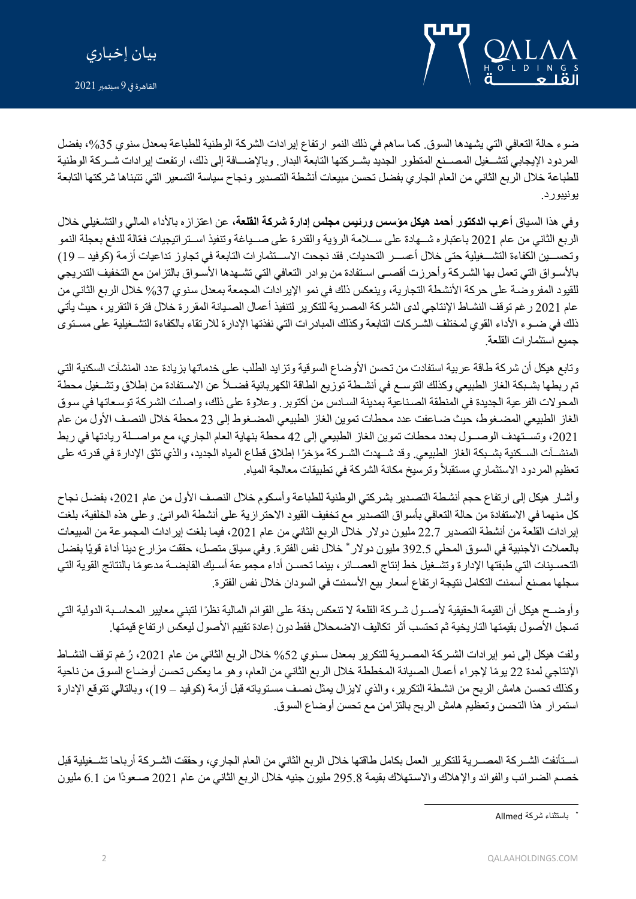



ضوء حالة التعافي التي يشهدها السوق. كما ساهم في ذلك النمو ارتفاع إير ادات الشركة الوطنية للطباعة بمعدل سنوي 35%، بفضل المردود الإيجابي لتشـخيل المصــنع المتطور الجديد بشــركتها التابعة البدار . وبالإضــافة إلى ذلك، ارتفعت إيرادات شــركة الوطنية للطباعة خلال الربع الثاني من العام الجاري بفضل تحسن مبيعات أنشطة التصدير ونجاح سياسة التسعير التي تتبناها شركتها التابعة يونيبورد.

وفي هذا السياق أ**عرب الدكتور أحمد هيكل مؤسس ورئيس مجلس إدارة شركة القلع**ة، عن اعتزاز ه بالأداء المالي والتشغيلي خلال الربع الثاني من عام 2021 باعتباره شــهادة على ســلامة الرؤية والقدرة على صــياغة وتنفيذ اسـتر اتيجيات فعّالة للدفع بعجلة النمو وتحســين الكفاءة التشــغيلية حتى خلال أعســر التحديات. فقد نجحت الاســتثمارات التابعة في تجاوز تداعيات أزمة (كوفيد – 19) بالأسـواق التي تعمل بها الشـركة وأحرزت أقصـي اسـتفادة من بوادر التعافي التي تشـهدها الأسـواق بالتزامن مع التخفيف التدريجي للقيود المفروضة على حركة الأنشطة التجارية، وينعكس ذلك في نمو الإيرادات المجمعة بمعدل سنوي 37% خلال الربع الثاني من عام 2021 رغم توقف النشـاط الإنتاجي لدى الشـركة المصـرية للتكرير لتنفيذ أعمال الصـيانة المقررة خلال فترة التقرير ، حيث يأتي ذلك في ضـوء الأداء القوي لمختلف الشـركات التابعة وكذلك المبادرات التي نفذتها الإدارة للارتقاء بالكفاءة التشـغيلية على مسـتوى جميع استثمارات القلعة.

وتابع هيكل أن شركة طاقة عربية استفادت من تحسن الأوضاع السوقية وتزايد الطلب على خدماتها بزيادة عدد المنشآت السكنية التي تم ربطها بشبكة الغاز الطبيعي وكذلك التوسـع في أنشـطة توزيع الطاقة الكهربائية فضـلاً عن الاسـتفادة من إطلاق وتشـغيل محطة المحولات الفر عية الجديدة في المنطقة الصناعية بمدينة السادس من أكتوبر . وعلاوة على ذلك، واصلت الشركة توسعاتها في سوق الغاز الطبيعي المضغوط، حيث ضباعفت عدد محطات تموين الغاز الطبيعي المضغوط إلى 23 محطة خلال النصف الأول من عام 2021، وتسـتهدف الوصــول بعدد محطات تموين الغاز الطبيعي إلى 42 محطة بنهاية العام الجاري، مع مواصــلة ريادتها في ربط المنشأت السكنية بشـبكة الغاز الطبيعي. وقد شـهدت الشـركة مؤخرًا إطلاق قطاع المياه الجديد، والذي تثق الإدارة في قدرته على تعظيم المردود الاستثماري مستقبلاً وترسيخ مكانة الشركة في تطبيقات معالجة المياه.

وأشار هيكل إلى ارتفاع حجم أنشطة التصدير بشركتي الوطنية للطباعة وأسكوم خلال النصف الأول من عام 2021، بفضل نجاح كل منهما في الاستفادة من حالة التعافي بأسواق التصدير مع تخفيف القيود الاحترازية على أنشطة الموانئ. وعلى هذه الخلفية، بلغت إيرادات القلعة من أنشطة التصدير 22.7 مليون دولار خلال الربع الثاني من عام 2021، فيما بلغت إيرادات المجموعة من المبيعات بالعملات الأجنبية في السوق المحلي 392.5 مليون دولار \* خلال نفس الفترة. وفي سياق متصل، حققت مزارع دينا أداءً قويًا بفضل التحسـينات التي طبقتها الإدارة وتشـغيل خط إنتاج العصـائر ، بينما تحسـن أداء مجموعة أسـيك القابضــة مدعومًا بالنتائج القوية التي سجلها مصنع أسمنت التكامل نتيجة ارتفاع أسعار بيع الأسمنت في السودان خلال نفس الفترة.

وأوضــح هيكل أن القيمة الحقيقية لأصــول شــركة القلعة لا تنعكس بدقة على القوائم المالية نظرًا لتبني معايير المحاسـبة الدولية التي تسجل الأصول بقيمتها التاريخية ثم تحتسب أثر تكاليف الاضمحلال فقط دون إعادة تقييم الأصول ليعكس ارتفاع قيمتها.

ولفت هيكل إلى نمو إيرادات الشركة المصـرية للتكرير بمعدل سـنوي 52% خلال الربع الثاني من عام 2021، رُغم توقف النشـاط الإنتاجي لمدة 22 بومًا لإجراء أعمال الصيانة المخططة خلال الربع الثاني من العام، وهو ما يعكس تحسن أوضداع السوق من ناحية وكذلك نحسن هامش الربح من انشطة التكرير ، والذي لايزال يمثل نصف مستوياته قبل أزمة (كوفيد – 19)، وبالتالي تتوقع الإدارة استمرار هذا التحسن وتعظيم هامش الربح بالتزامن مع تحسن أوضاع السوق.

اسـتأنفت الشـركة المصــرية للتكرير العمل بكامل طاقتها خلال الربع الثاني من العام الجاري، وحققت الشــركة أرباحا تشــغيلية قبل خصم الضررائب والفوائد والإهلاك والاستهلاك بقيمة 295.8 مليون جنيه خلال الربع الثاني من عام 2021 صعودًا من 6.1 مليون

باستثناء شركة Allmed\*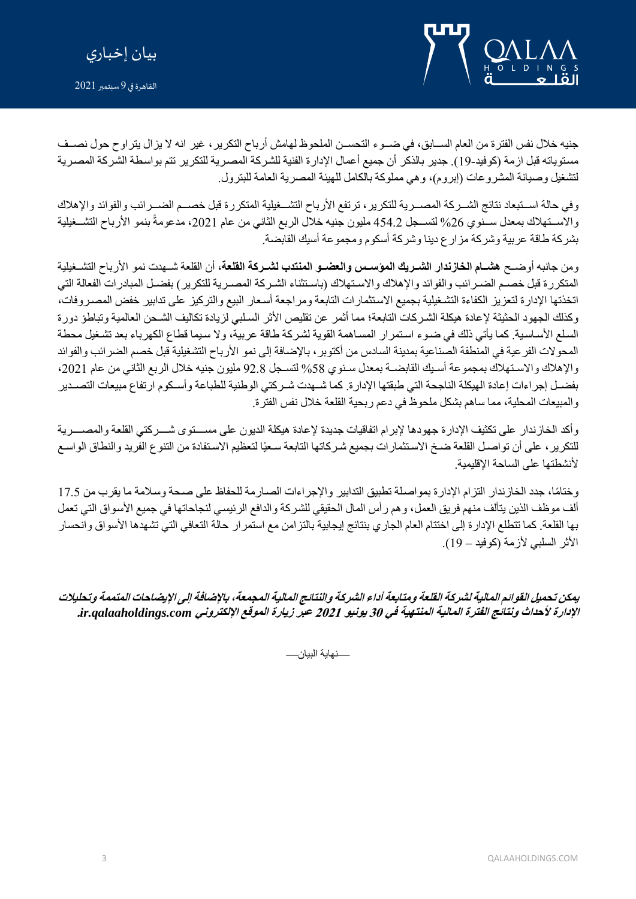

القاهرة في 9 سبتمبر 2021



جنيه خلال نفس الفترة من العام الســابق، في ضــوء التحســن الملحوظ لهامش أرباح التكرير ، غير انـه لا يزال يتراوح حول نصــف مستوياته قبل ازمة (كوفيد-19). جدير بالذكر أن جميع أعمال الإدارة الفنية للشركة المصرية للتكرير تتم بواسطة الشركة المصرية لتشغيل وصيانة المشروعات (إبروم)، وهي مملوكة بالكامل للهيئة المصرية العامة للبترول.

وفي حالة اسـتبعاد نتائج الشـركة المصـرية للتكرير ، ترتفع الأرباح التشــغيلية المتكررة قبل خصــم الضــرائب والفوائد والإهلاك والاســتـهلاك بمعدل ســنوي 26% لتســجل 454.2 مليون جنيه خلال الربع الثاني من عام 2021، مدعومةً بنمو الأرباح التشــغيلية بشركة طاقة عربية وشركة مزارع دينا وشركة أسكوم ومجموعة أسيك القابضة.

ومن جانبه أوضـح **هشـام الخازندار الشـريك المؤسـس والعضـو المنتدب لشـركة القلعة**، أن القلعة شـهدت نمو الأرباح التشـغيلية المتكررة قبل خصم الضررائب والفوائد والإهلاك والاستهلاك (باستثناء الشركة المصرية للتكرير) بفضل المبادرات الفعالة التي اتخذتها الإدارة لتعزيز الكفاءة التشغيلية بجميع الاستثمارات التابعة ومراجعة أسعار البيع والتركيز على تدابير خفض المصروفات، وكذلك الجهود الحثيثة لإعادة هيكلة الشركات التابعة؛ مما أثمر عن تقليص الأثر السلبي لزيادة تكاليف الشـحن العالمية وتباطؤ دورة السلع الأساسية. كما يأتي ذلك في ضوء استمرار المساهمة القوية لشركة طاقة عربية، ولا سيما قطاع الكهرباء بعد تشغيل محطة المحولات الفر عية في المنطقة الصناعية بمدينة السادس من أكتوبر ، بالإضافة إلى نمو الأرباح التشغيلية قبل خصم الضر ائب والفوائد والإهلاك والاستهلاك بمجموعة أسبك القابضـة بمعدل سنوى 58% لتسـجل 92.8 مليون جنيه خلال الربع الثاني من عام 2021، بفضـل إجراءات إعادة الهيكلة الناجحة التي طبقتها الإدارة. كما شـهدت شـركتي الوطنية للطباعة وأسـكوم ارتفاع مبيعات التصـدير والمبيعات المحلية، مما ساهم بشكل ملحوظ في دعم ربحية القلعة خلال نفس الفترة.

وأكد الخازندار على تكثيف الإدارة جهودها لإبرام اتفاقيات جديدة لإعادة هيكلة الديون على مســـتوي شـــركتي القلعة والمصـــرية للتكرير ، على أن تواصل القلعة ضخ الاستثمارات بجميع شركاتها التابعة سعيًا لتعظيم الاستفادة من التنوع الفريد والنطاق الواسع لأنشطتها على الساحة الإقليمية.

وختامًا، جدد الخازندار التزام الإدارة بمواصلة تطبيق التدابير والإجراءات الصارمة للحفاظ على صحة وسلامة ما يقرب من 17.5 ألف موظف الذين يتألف منهم فريق العمل، وهم رأس المال الحقيقي للشركة والدافع الرئيسي لنجاحاتها في جميع الأسواق التي تعمل بها القلعة. كما تتطلع الإدارة إلى اختتام العام الجاري بنتائج إيجابية بالتزامن مع استمرار حالة التعافي التي تشهدها الأسواق وانحسار الأثر السلبي لأزمة (كوفيد – 19).

**يمكن تحميل القوائم المالية لشركة القلعة ومتابعة أداء الشركة والنتائج المالية المجمعة، باإلضافة إلى اإليضاحات المتممة وتحليالت اإلدارة لحداث ونتائج الفترة المالية المنتهية في 30 يونيو 2021 عبر زيارة الموقع اإللكتروني** *com.qalaaholdings.ir***.** 

—نهاية البيان—